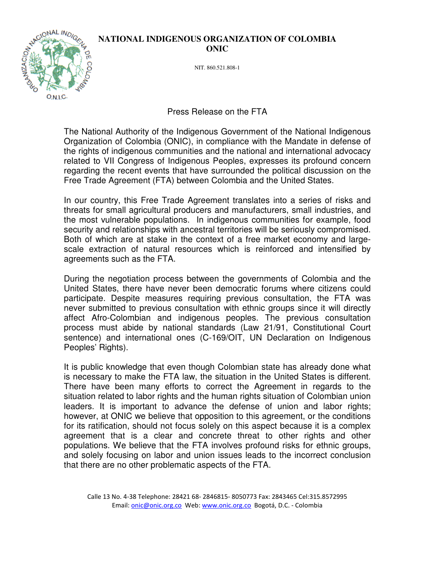## **NATIONAL INDIGENOUS ORGANIZATION OF COLOMBIA ONIC**



NIT. 860.521.808-1

## Press Release on the FTA

The National Authority of the Indigenous Government of the National Indigenous Organization of Colombia (ONIC), in compliance with the Mandate in defense of the rights of indigenous communities and the national and international advocacy related to VII Congress of Indigenous Peoples, expresses its profound concern regarding the recent events that have surrounded the political discussion on the Free Trade Agreement (FTA) between Colombia and the United States.

In our country, this Free Trade Agreement translates into a series of risks and threats for small agricultural producers and manufacturers, small industries, and the most vulnerable populations. In indigenous communities for example, food security and relationships with ancestral territories will be seriously compromised. Both of which are at stake in the context of a free market economy and largescale extraction of natural resources which is reinforced and intensified by agreements such as the FTA.

During the negotiation process between the governments of Colombia and the United States, there have never been democratic forums where citizens could participate. Despite measures requiring previous consultation, the FTA was never submitted to previous consultation with ethnic groups since it will directly affect Afro-Colombian and indigenous peoples. The previous consultation process must abide by national standards (Law 21/91, Constitutional Court sentence) and international ones (C-169/OIT, UN Declaration on Indigenous Peoples' Rights).

It is public knowledge that even though Colombian state has already done what is necessary to make the FTA law, the situation in the United States is different. There have been many efforts to correct the Agreement in regards to the situation related to labor rights and the human rights situation of Colombian union leaders. It is important to advance the defense of union and labor rights; however, at ONIC we believe that opposition to this agreement, or the conditions for its ratification, should not focus solely on this aspect because it is a complex agreement that is a clear and concrete threat to other rights and other populations. We believe that the FTA involves profound risks for ethnic groups, and solely focusing on labor and union issues leads to the incorrect conclusion that there are no other problematic aspects of the FTA.